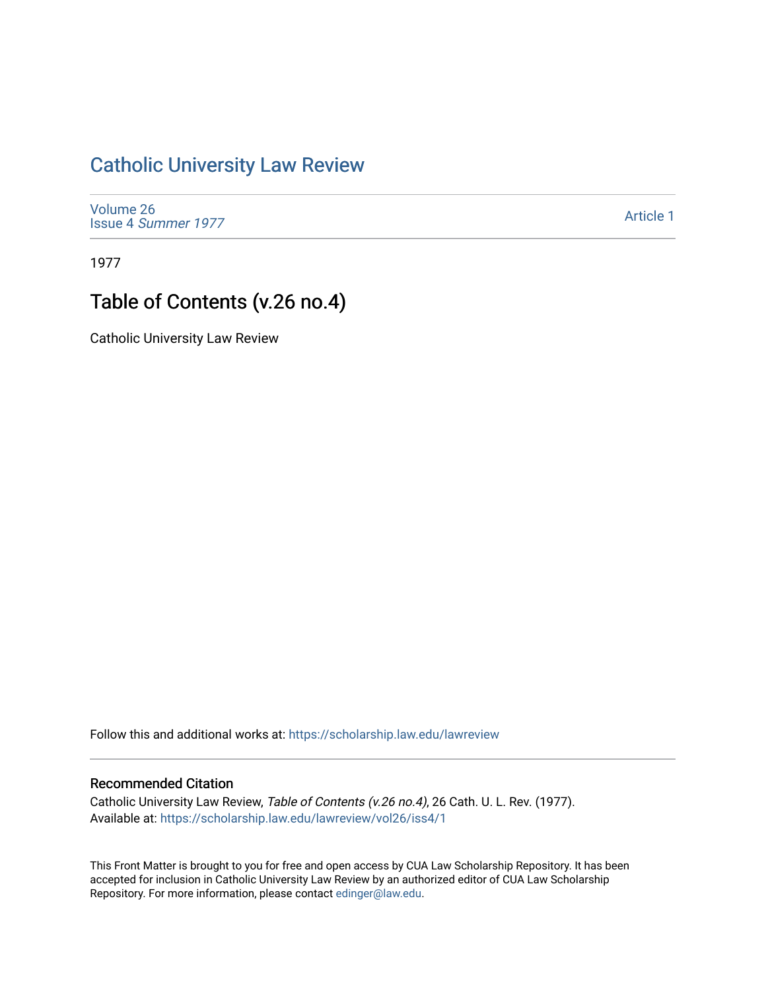### [Catholic University Law Review](https://scholarship.law.edu/lawreview)

[Volume 26](https://scholarship.law.edu/lawreview/vol26) Issue 4 [Summer 1977](https://scholarship.law.edu/lawreview/vol26/iss4) 

[Article 1](https://scholarship.law.edu/lawreview/vol26/iss4/1) 

1977

## Table of Contents (v.26 no.4)

Catholic University Law Review

Follow this and additional works at: [https://scholarship.law.edu/lawreview](https://scholarship.law.edu/lawreview?utm_source=scholarship.law.edu%2Flawreview%2Fvol26%2Fiss4%2F1&utm_medium=PDF&utm_campaign=PDFCoverPages)

#### Recommended Citation

Catholic University Law Review, Table of Contents (v.26 no.4), 26 Cath. U. L. Rev. (1977). Available at: [https://scholarship.law.edu/lawreview/vol26/iss4/1](https://scholarship.law.edu/lawreview/vol26/iss4/1?utm_source=scholarship.law.edu%2Flawreview%2Fvol26%2Fiss4%2F1&utm_medium=PDF&utm_campaign=PDFCoverPages)

This Front Matter is brought to you for free and open access by CUA Law Scholarship Repository. It has been accepted for inclusion in Catholic University Law Review by an authorized editor of CUA Law Scholarship Repository. For more information, please contact [edinger@law.edu.](mailto:edinger@law.edu)